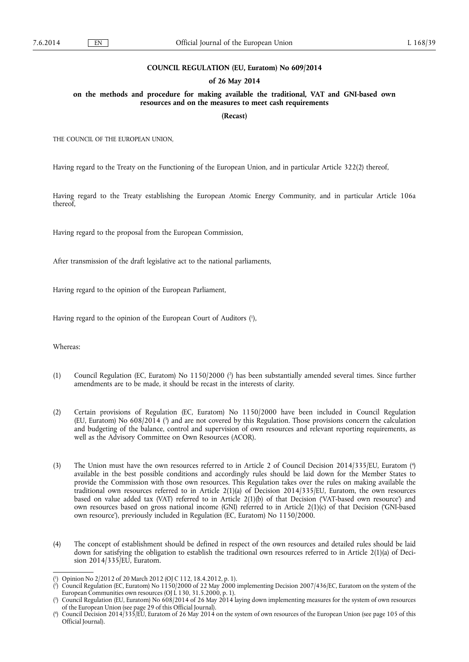#### **COUNCIL REGULATION (EU, Euratom) No 609/2014**

#### **of 26 May 2014**

**on the methods and procedure for making available the traditional, VAT and GNI-based own resources and on the measures to meet cash requirements** 

**(Recast)** 

THE COUNCIL OF THE EUROPEAN UNION,

Having regard to the Treaty on the Functioning of the European Union, and in particular Article 322(2) thereof,

Having regard to the Treaty establishing the European Atomic Energy Community, and in particular Article 106a thereof,

Having regard to the proposal from the European Commission,

After transmission of the draft legislative act to the national parliaments,

Having regard to the opinion of the European Parliament,

Having regard to the opinion of the European Court of Auditors ( 1 ),

Whereas:

- (1) Council Regulation (EC, Euratom) No 1150/2000 ( 2 ) has been substantially amended several times. Since further amendments are to be made, it should be recast in the interests of clarity.
- (2) Certain provisions of Regulation (EC, Euratom) No 1150/2000 have been included in Council Regulation (EU, Euratom) No 608/2014 ( 3 ) and are not covered by this Regulation. Those provisions concern the calculation and budgeting of the balance, control and supervision of own resources and relevant reporting requirements, as well as the Advisory Committee on Own Resources (ACOR).
- (3) The Union must have the own resources referred to in Article 2 of Council Decision 2014/335/EU, Euratom ( 4 ) available in the best possible conditions and accordingly rules should be laid down for the Member States to provide the Commission with those own resources. This Regulation takes over the rules on making available the traditional own resources referred to in Article 2(1)(a) of Decision 2014/335/EU, Euratom, the own resources based on value added tax (VAT) referred to in Article 2(1)(b) of that Decision ('VAT-based own resource') and own resources based on gross national income (GNI) referred to in Article 2(1)(c) of that Decision ('GNI-based own resource'), previously included in Regulation (EC, Euratom) No 1150/2000.
- (4) The concept of establishment should be defined in respect of the own resources and detailed rules should be laid down for satisfying the obligation to establish the traditional own resources referred to in Article 2(1)(a) of Decision 2014/335/EU, Euratom.

<sup>(</sup> 1 ) Opinion No 2/2012 of 20 March 2012 (OJ C 112, 18.4.2012, p. 1).

<sup>(</sup> 2 ) Council Regulation (EC, Euratom) No 1150/2000 of 22 May 2000 implementing Decision 2007/436/EC, Euratom on the system of the European Communities own resources (OJ L 130, 31.5.2000, p. 1).

<sup>(</sup> 3 ) Council Regulation (EU, Euratom) No 608/2014 of 26 May 2014 laying down implementing measures for the system of own resources of the European Union (see page 29 of this Official Journal).

<sup>(</sup> 4 ) Council Decision 2014/335/EU, Euratom of 26 May 2014 on the system of own resources of the European Union (see page 105 of this Official Journal).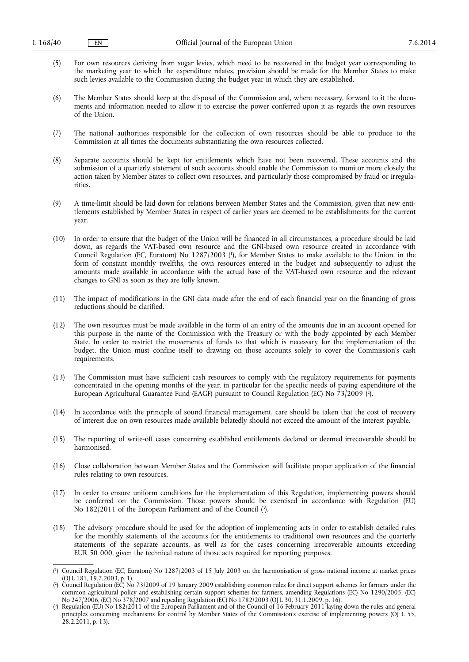- (5) For own resources deriving from sugar levies, which need to be recovered in the budget year corresponding to the marketing year to which the expenditure relates, provision should be made for the Member States to make such levies available to the Commission during the budget year in which they are established.
- (6) The Member States should keep at the disposal of the Commission and, where necessary, forward to it the documents and information needed to allow it to exercise the power conferred upon it as regards the own resources of the Union.
- (7) The national authorities responsible for the collection of own resources should be able to produce to the Commission at all times the documents substantiating the own resources collected.
- (8) Separate accounts should be kept for entitlements which have not been recovered. These accounts and the submission of a quarterly statement of such accounts should enable the Commission to monitor more closely the action taken by Member States to collect own resources, and particularly those compromised by fraud or irregularities.
- (9) A time-limit should be laid down for relations between Member States and the Commission, given that new entitlements established by Member States in respect of earlier years are deemed to be establishments for the current year.
- (10) In order to ensure that the budget of the Union will be financed in all circumstances, a procedure should be laid down, as regards the VAT-based own resource and the GNI-based own resource created in accordance with Council Regulation (EC, Euratom) No 1287/2003 ( 1 ), for Member States to make available to the Union, in the form of constant monthly twelfths, the own resources entered in the budget and subsequently to adjust the amounts made available in accordance with the actual base of the VAT-based own resource and the relevant changes to GNI as soon as they are fully known.
- (11) The impact of modifications in the GNI data made after the end of each financial year on the financing of gross reductions should be clarified.
- (12) The own resources must be made available in the form of an entry of the amounts due in an account opened for this purpose in the name of the Commission with the Treasury or with the body appointed by each Member State. In order to restrict the movements of funds to that which is necessary for the implementation of the budget, the Union must confine itself to drawing on those accounts solely to cover the Commission's cash requirements.
- (13) The Commission must have sufficient cash resources to comply with the regulatory requirements for payments concentrated in the opening months of the year, in particular for the specific needs of paying expenditure of the European Agricultural Guarantee Fund (EAGF) pursuant to Council Regulation (EC) No 73/2009 ( 2 ).
- (14) In accordance with the principle of sound financial management, care should be taken that the cost of recovery of interest due on own resources made available belatedly should not exceed the amount of the interest payable.
- (15) The reporting of write-off cases concerning established entitlements declared or deemed irrecoverable should be harmonised.
- (16) Close collaboration between Member States and the Commission will facilitate proper application of the financial rules relating to own resources.
- (17) In order to ensure uniform conditions for the implementation of this Regulation, implementing powers should be conferred on the Commission. Those powers should be exercised in accordance with Regulation (EU) No 182/2011 of the European Parliament and of the Council ( 3 ).
- (18) The advisory procedure should be used for the adoption of implementing acts in order to establish detailed rules for the monthly statements of the accounts for the entitlements to traditional own resources and the quarterly statements of the separate accounts, as well as for the cases concerning irrecoverable amounts exceeding EUR 50 000, given the technical nature of those acts required for reporting purposes.

<sup>(</sup> 1 ) Council Regulation (EC, Euratom) No 1287/2003 of 15 July 2003 on the harmonisation of gross national income at market prices (OJ L 181, 19.7.2003, p. 1).

<sup>(</sup> 2 ) Council Regulation (EC) No 73/2009 of 19 January 2009 establishing common rules for direct support schemes for farmers under the common agricultural policy and establishing certain support schemes for farmers, amending Regulations (EC) No 1290/2005, (EC) No 247/2006, (EC) No 378/2007 and repealing Regulation (EC) No 1782/2003 (OJ L 30, 31.1.2009, p. 16).

<sup>(</sup> 3 ) Regulation (EU) No 182/2011 of the European Parliament and of the Council of 16 February 2011 laying down the rules and general principles concerning mechanisms for control by Member States of the Commission's exercise of implementing powers (OJ L 55, 28.2.2011, p. 13).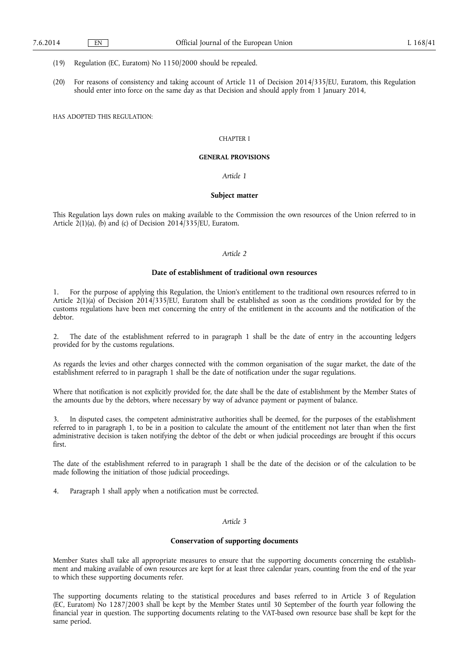(19) Regulation (EC, Euratom) No 1150/2000 should be repealed.

(20) For reasons of consistency and taking account of Article 11 of Decision 2014/335/EU, Euratom, this Regulation should enter into force on the same day as that Decision and should apply from 1 January 2014,

HAS ADOPTED THIS REGULATION:

#### CHAPTER I

#### **GENERAL PROVISIONS**

## *Article 1*

### **Subject matter**

This Regulation lays down rules on making available to the Commission the own resources of the Union referred to in Article  $2(1)(a)$ , (b) and (c) of Decision 2014/335/EU, Euratom.

# *Article 2*

## **Date of establishment of traditional own resources**

1. For the purpose of applying this Regulation, the Union's entitlement to the traditional own resources referred to in Article 2(1)(a) of Decision 2014/335/EU, Euratom shall be established as soon as the conditions provided for by the customs regulations have been met concerning the entry of the entitlement in the accounts and the notification of the debtor.

2. The date of the establishment referred to in paragraph 1 shall be the date of entry in the accounting ledgers provided for by the customs regulations.

As regards the levies and other charges connected with the common organisation of the sugar market, the date of the establishment referred to in paragraph 1 shall be the date of notification under the sugar regulations.

Where that notification is not explicitly provided for, the date shall be the date of establishment by the Member States of the amounts due by the debtors, where necessary by way of advance payment or payment of balance.

3. In disputed cases, the competent administrative authorities shall be deemed, for the purposes of the establishment referred to in paragraph 1, to be in a position to calculate the amount of the entitlement not later than when the first administrative decision is taken notifying the debtor of the debt or when judicial proceedings are brought if this occurs first.

The date of the establishment referred to in paragraph 1 shall be the date of the decision or of the calculation to be made following the initiation of those judicial proceedings.

4. Paragraph 1 shall apply when a notification must be corrected.

## *Article 3*

## **Conservation of supporting documents**

Member States shall take all appropriate measures to ensure that the supporting documents concerning the establishment and making available of own resources are kept for at least three calendar years, counting from the end of the year to which these supporting documents refer.

The supporting documents relating to the statistical procedures and bases referred to in Article 3 of Regulation (EC, Euratom) No 1287/2003 shall be kept by the Member States until 30 September of the fourth year following the financial year in question. The supporting documents relating to the VAT-based own resource base shall be kept for the same period.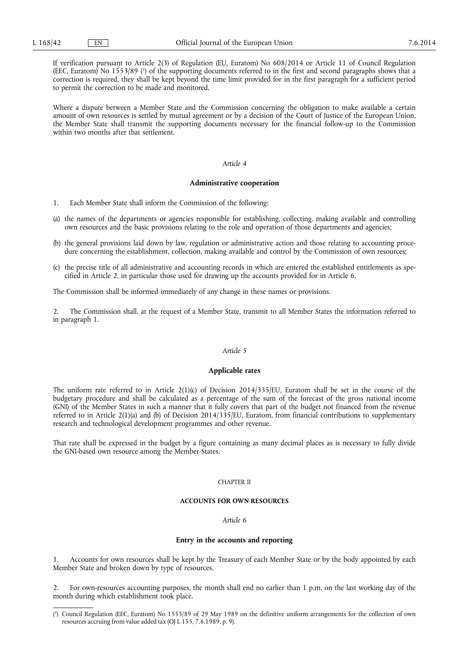If verification pursuant to Article 2(3) of Regulation (EU, Euratom) No 608/2014 or Article 11 of Council Regulation (EEC, Euratom) No 1553/89 (<sup>1</sup>) of the supporting documents referred to in the first and second paragraphs shows that a correction is required, they shall be kept beyond the time limit provided for in the first paragraph for a sufficient period to permit the correction to be made and monitored.

Where a dispute between a Member State and the Commission concerning the obligation to make available a certain amount of own resources is settled by mutual agreement or by a decision of the Court of Justice of the European Union, the Member State shall transmit the supporting documents necessary for the financial follow-up to the Commission within two months after that settlement.

#### *Article 4*

#### **Administrative cooperation**

- 1. Each Member State shall inform the Commission of the following:
- (a) the names of the departments or agencies responsible for establishing, collecting, making available and controlling own resources and the basic provisions relating to the role and operation of those departments and agencies;
- (b) the general provisions laid down by law, regulation or administrative action and those relating to accounting procedure concerning the establishment, collection, making available and control by the Commission of own resources;
- (c) the precise title of all administrative and accounting records in which are entered the established entitlements as specified in Article 2, in particular those used for drawing up the accounts provided for in Article 6.

The Commission shall be informed immediately of any change in these names or provisions.

2. The Commission shall, at the request of a Member State, transmit to all Member States the information referred to in paragraph 1.

## *Article 5*

## **Applicable rates**

The uniform rate referred to in Article  $2(1)(c)$  of Decision  $2014/335/EU$ , Euratom shall be set in the course of the budgetary procedure and shall be calculated as a percentage of the sum of the forecast of the gross national income (GNI) of the Member States in such a manner that it fully covers that part of the budget not financed from the revenue referred to in Article 2(1)(a) and (b) of Decision 2014/335/EU, Euratom, from financial contributions to supplementary research and technological development programmes and other revenue.

That rate shall be expressed in the budget by a figure containing as many decimal places as is necessary to fully divide the GNI-based own resource among the Member States.

#### CHAPTER II

## **ACCOUNTS FOR OWN RESOURCES**

### *Article 6*

#### **Entry in the accounts and reporting**

Accounts for own resources shall be kept by the Treasury of each Member State or by the body appointed by each Member State and broken down by type of resources.

2. For own-resources accounting purposes, the month shall end no earlier than 1 p.m. on the last working day of the month during which establishment took place.

<sup>(</sup> 1 ) Council Regulation (EEC, Euratom) No 1553/89 of 29 May 1989 on the definitive uniform arrangements for the collection of own resources accruing from value added tax (OJ L 155, 7.6.1989, p. 9).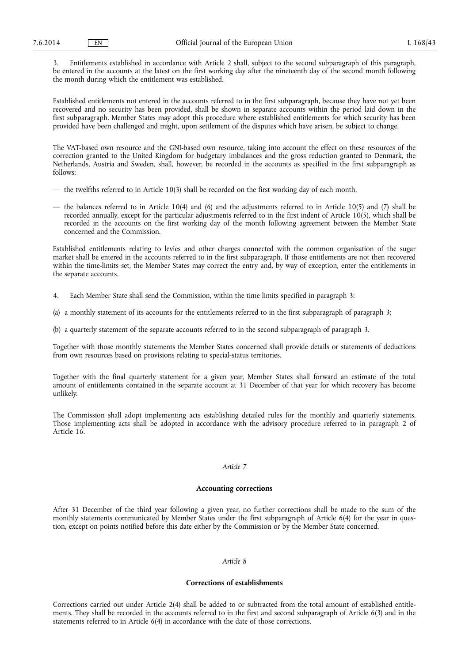3. Entitlements established in accordance with Article 2 shall, subject to the second subparagraph of this paragraph, be entered in the accounts at the latest on the first working day after the nineteenth day of the second month following the month during which the entitlement was established.

Established entitlements not entered in the accounts referred to in the first subparagraph, because they have not yet been recovered and no security has been provided, shall be shown in separate accounts within the period laid down in the first subparagraph. Member States may adopt this procedure where established entitlements for which security has been provided have been challenged and might, upon settlement of the disputes which have arisen, be subject to change.

The VAT-based own resource and the GNI-based own resource, taking into account the effect on these resources of the correction granted to the United Kingdom for budgetary imbalances and the gross reduction granted to Denmark, the Netherlands, Austria and Sweden, shall, however, be recorded in the accounts as specified in the first subparagraph as follows:

- the twelfths referred to in Article 10(3) shall be recorded on the first working day of each month,
- the balances referred to in Article 10(4) and (6) and the adjustments referred to in Article 10(5) and (7) shall be recorded annually, except for the particular adjustments referred to in the first indent of Article 10(5), which shall be recorded in the accounts on the first working day of the month following agreement between the Member State concerned and the Commission.

Established entitlements relating to levies and other charges connected with the common organisation of the sugar market shall be entered in the accounts referred to in the first subparagraph. If those entitlements are not then recovered within the time-limits set, the Member States may correct the entry and, by way of exception, enter the entitlements in the separate accounts.

- 4. Each Member State shall send the Commission, within the time limits specified in paragraph 3:
- (a) a monthly statement of its accounts for the entitlements referred to in the first subparagraph of paragraph 3;
- (b) a quarterly statement of the separate accounts referred to in the second subparagraph of paragraph 3.

Together with those monthly statements the Member States concerned shall provide details or statements of deductions from own resources based on provisions relating to special-status territories.

Together with the final quarterly statement for a given year, Member States shall forward an estimate of the total amount of entitlements contained in the separate account at 31 December of that year for which recovery has become unlikely.

The Commission shall adopt implementing acts establishing detailed rules for the monthly and quarterly statements. Those implementing acts shall be adopted in accordance with the advisory procedure referred to in paragraph 2 of Article 16.

## *Article 7*

# **Accounting corrections**

After 31 December of the third year following a given year, no further corrections shall be made to the sum of the monthly statements communicated by Member States under the first subparagraph of Article 6(4) for the year in question, except on points notified before this date either by the Commission or by the Member State concerned.

## *Article 8*

## **Corrections of establishments**

Corrections carried out under Article 2(4) shall be added to or subtracted from the total amount of established entitlements. They shall be recorded in the accounts referred to in the first and second subparagraph of Article 6(3) and in the statements referred to in Article 6(4) in accordance with the date of those corrections.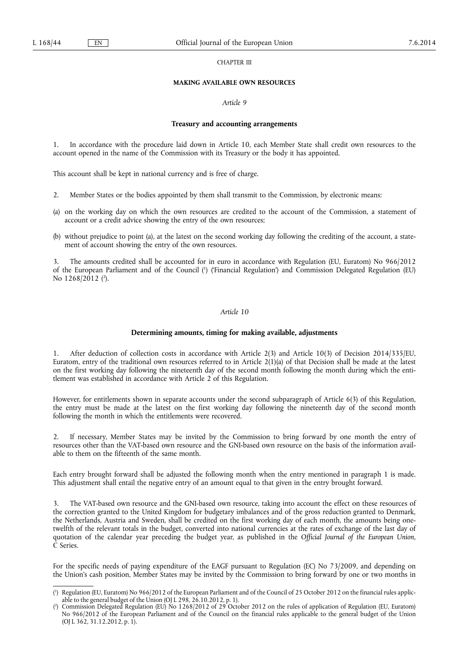CHAPTER III

# **MAKING AVAILABLE OWN RESOURCES**

### *Article 9*

### **Treasury and accounting arrangements**

In accordance with the procedure laid down in Article 10, each Member State shall credit own resources to the account opened in the name of the Commission with its Treasury or the body it has appointed.

This account shall be kept in national currency and is free of charge.

- 2. Member States or the bodies appointed by them shall transmit to the Commission, by electronic means:
- (a) on the working day on which the own resources are credited to the account of the Commission, a statement of account or a credit advice showing the entry of the own resources;
- (b) without prejudice to point (a), at the latest on the second working day following the crediting of the account, a statement of account showing the entry of the own resources.

3. The amounts credited shall be accounted for in euro in accordance with Regulation (EU, Euratom) No 966/2012 of the European Parliament and of the Council ( 1 ) ('Financial Regulation') and Commission Delegated Regulation (EU) No 1268/2012 (<sup>2</sup>).

### *Article 10*

#### **Determining amounts, timing for making available, adjustments**

1. After deduction of collection costs in accordance with Article 2(3) and Article 10(3) of Decision 2014/335/EU, Euratom, entry of the traditional own resources referred to in Article 2(1)(a) of that Decision shall be made at the latest on the first working day following the nineteenth day of the second month following the month during which the entitlement was established in accordance with Article 2 of this Regulation.

However, for entitlements shown in separate accounts under the second subparagraph of Article 6(3) of this Regulation, the entry must be made at the latest on the first working day following the nineteenth day of the second month following the month in which the entitlements were recovered.

2. If necessary, Member States may be invited by the Commission to bring forward by one month the entry of resources other than the VAT-based own resource and the GNI-based own resource on the basis of the information available to them on the fifteenth of the same month.

Each entry brought forward shall be adjusted the following month when the entry mentioned in paragraph 1 is made. This adjustment shall entail the negative entry of an amount equal to that given in the entry brought forward.

3. The VAT-based own resource and the GNI-based own resource, taking into account the effect on these resources of the correction granted to the United Kingdom for budgetary imbalances and of the gross reduction granted to Denmark, the Netherlands, Austria and Sweden, shall be credited on the first working day of each month, the amounts being onetwelfth of the relevant totals in the budget, converted into national currencies at the rates of exchange of the last day of quotation of the calendar year preceding the budget year, as published in the *Official Journal of the European Union*, C Series.

For the specific needs of paying expenditure of the EAGF pursuant to Regulation (EC) No 73/2009, and depending on the Union's cash position, Member States may be invited by the Commission to bring forward by one or two months in

<sup>(</sup> 1 ) Regulation (EU, Euratom) No 966/2012 of the European Parliament and of the Council of 25 October 2012 on the financial rules applicable to the general budget of the Union (OJ L 298, 26.10.2012, p. 1).

<sup>(</sup> 2 ) Commission Delegated Regulation (EU) No 1268/2012 of 29 October 2012 on the rules of application of Regulation (EU, Euratom) No 966/2012 of the European Parliament and of the Council on the financial rules applicable to the general budget of the Union (OJ L 362, 31.12.2012, p. 1).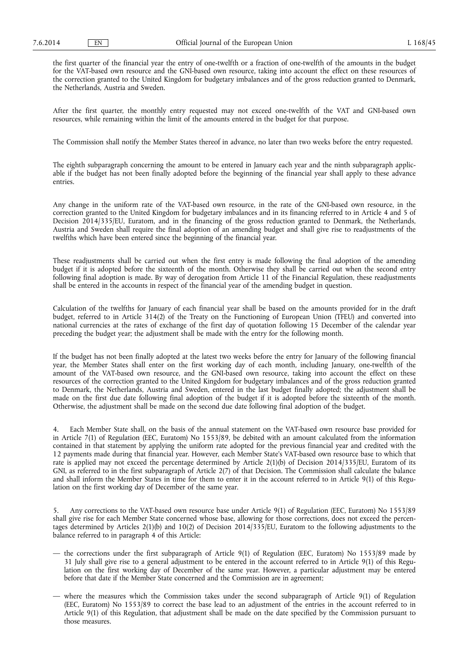the first quarter of the financial year the entry of one-twelfth or a fraction of one-twelfth of the amounts in the budget for the VAT-based own resource and the GNI-based own resource, taking into account the effect on these resources of the correction granted to the United Kingdom for budgetary imbalances and of the gross reduction granted to Denmark, the Netherlands, Austria and Sweden.

After the first quarter, the monthly entry requested may not exceed one-twelfth of the VAT and GNI-based own resources, while remaining within the limit of the amounts entered in the budget for that purpose.

The Commission shall notify the Member States thereof in advance, no later than two weeks before the entry requested.

The eighth subparagraph concerning the amount to be entered in January each year and the ninth subparagraph applicable if the budget has not been finally adopted before the beginning of the financial year shall apply to these advance entries.

Any change in the uniform rate of the VAT-based own resource, in the rate of the GNI-based own resource, in the correction granted to the United Kingdom for budgetary imbalances and in its financing referred to in Article 4 and 5 of Decision 2014/335/EU, Euratom, and in the financing of the gross reduction granted to Denmark, the Netherlands, Austria and Sweden shall require the final adoption of an amending budget and shall give rise to readjustments of the twelfths which have been entered since the beginning of the financial year.

These readjustments shall be carried out when the first entry is made following the final adoption of the amending budget if it is adopted before the sixteenth of the month. Otherwise they shall be carried out when the second entry following final adoption is made. By way of derogation from Article 11 of the Financial Regulation, these readjustments shall be entered in the accounts in respect of the financial year of the amending budget in question.

Calculation of the twelfths for January of each financial year shall be based on the amounts provided for in the draft budget, referred to in Article 314(2) of the Treaty on the Functioning of European Union (TFEU) and converted into national currencies at the rates of exchange of the first day of quotation following 15 December of the calendar year preceding the budget year; the adjustment shall be made with the entry for the following month.

If the budget has not been finally adopted at the latest two weeks before the entry for January of the following financial year, the Member States shall enter on the first working day of each month, including January, one-twelfth of the amount of the VAT-based own resource, and the GNI-based own resource, taking into account the effect on these resources of the correction granted to the United Kingdom for budgetary imbalances and of the gross reduction granted to Denmark, the Netherlands, Austria and Sweden, entered in the last budget finally adopted; the adjustment shall be made on the first due date following final adoption of the budget if it is adopted before the sixteenth of the month. Otherwise, the adjustment shall be made on the second due date following final adoption of the budget.

4. Each Member State shall, on the basis of the annual statement on the VAT-based own resource base provided for in Article 7(1) of Regulation (EEC, Euratom) No 1553/89, be debited with an amount calculated from the information contained in that statement by applying the uniform rate adopted for the previous financial year and credited with the 12 payments made during that financial year. However, each Member State's VAT-based own resource base to which that rate is applied may not exceed the percentage determined by Article 2(1)(b) of Decision 2014/335/EU, Euratom of its GNI, as referred to in the first subparagraph of Article 2(7) of that Decision. The Commission shall calculate the balance and shall inform the Member States in time for them to enter it in the account referred to in Article 9(1) of this Regulation on the first working day of December of the same year.

5. Any corrections to the VAT-based own resource base under Article 9(1) of Regulation (EEC, Euratom) No 1553/89 shall give rise for each Member State concerned whose base, allowing for those corrections, does not exceed the percentages determined by Articles 2(1)(b) and 10(2) of Decision 2014/335/EU, Euratom to the following adjustments to the balance referred to in paragraph 4 of this Article:

- the corrections under the first subparagraph of Article 9(1) of Regulation (EEC, Euratom) No 1553/89 made by 31 July shall give rise to a general adjustment to be entered in the account referred to in Article 9(1) of this Regulation on the first working day of December of the same year. However, a particular adjustment may be entered before that date if the Member State concerned and the Commission are in agreement;
- where the measures which the Commission takes under the second subparagraph of Article 9(1) of Regulation (EEC, Euratom) No 1553/89 to correct the base lead to an adjustment of the entries in the account referred to in Article 9(1) of this Regulation, that adjustment shall be made on the date specified by the Commission pursuant to those measures.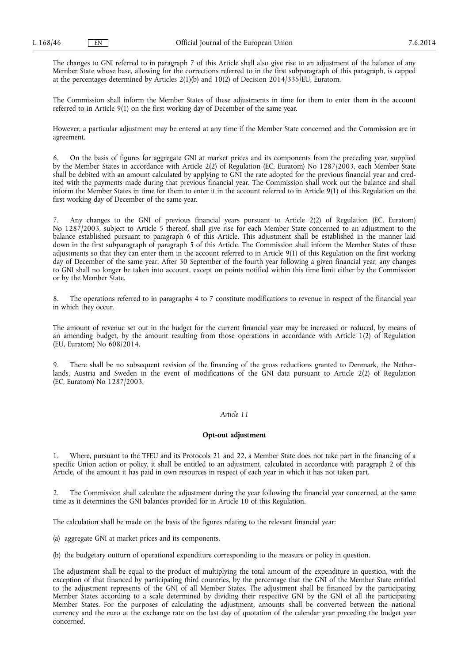The changes to GNI referred to in paragraph 7 of this Article shall also give rise to an adjustment of the balance of any Member State whose base, allowing for the corrections referred to in the first subparagraph of this paragraph, is capped at the percentages determined by Articles  $2(1)(b)$  and  $10(2)$  of Decision 2014/335/EU, Euratom.

The Commission shall inform the Member States of these adjustments in time for them to enter them in the account referred to in Article 9(1) on the first working day of December of the same year.

However, a particular adjustment may be entered at any time if the Member State concerned and the Commission are in agreement.

6. On the basis of figures for aggregate GNI at market prices and its components from the preceding year, supplied by the Member States in accordance with Article 2(2) of Regulation (EC, Euratom) No 1287/2003, each Member State shall be debited with an amount calculated by applying to GNI the rate adopted for the previous financial year and credited with the payments made during that previous financial year. The Commission shall work out the balance and shall inform the Member States in time for them to enter it in the account referred to in Article 9(1) of this Regulation on the first working day of December of the same year.

7. Any changes to the GNI of previous financial years pursuant to Article 2(2) of Regulation (EC, Euratom) No 1287/2003, subject to Article 5 thereof, shall give rise for each Member State concerned to an adjustment to the balance established pursuant to paragraph 6 of this Article. This adjustment shall be established in the manner laid down in the first subparagraph of paragraph 5 of this Article. The Commission shall inform the Member States of these adjustments so that they can enter them in the account referred to in Article 9(1) of this Regulation on the first working day of December of the same year. After 30 September of the fourth year following a given financial year, any changes to GNI shall no longer be taken into account, except on points notified within this time limit either by the Commission or by the Member State.

8. The operations referred to in paragraphs 4 to 7 constitute modifications to revenue in respect of the financial year in which they occur.

The amount of revenue set out in the budget for the current financial year may be increased or reduced, by means of an amending budget, by the amount resulting from those operations in accordance with Article 1(2) of Regulation (EU, Euratom) No 608/2014.

There shall be no subsequent revision of the financing of the gross reductions granted to Denmark, the Netherlands, Austria and Sweden in the event of modifications of the GNI data pursuant to Article 2(2) of Regulation (EC, Euratom) No 1287/2003.

#### *Article 11*

## **Opt-out adjustment**

1. Where, pursuant to the TFEU and its Protocols 21 and 22, a Member State does not take part in the financing of a specific Union action or policy, it shall be entitled to an adjustment, calculated in accordance with paragraph 2 of this Article, of the amount it has paid in own resources in respect of each year in which it has not taken part.

2. The Commission shall calculate the adjustment during the year following the financial year concerned, at the same time as it determines the GNI balances provided for in Article 10 of this Regulation.

The calculation shall be made on the basis of the figures relating to the relevant financial year:

(a) aggregate GNI at market prices and its components,

(b) the budgetary outturn of operational expenditure corresponding to the measure or policy in question.

The adjustment shall be equal to the product of multiplying the total amount of the expenditure in question, with the exception of that financed by participating third countries, by the percentage that the GNI of the Member State entitled to the adjustment represents of the GNI of all Member States. The adjustment shall be financed by the participating Member States according to a scale determined by dividing their respective GNI by the GNI of all the participating Member States. For the purposes of calculating the adjustment, amounts shall be converted between the national currency and the euro at the exchange rate on the last day of quotation of the calendar year preceding the budget year concerned.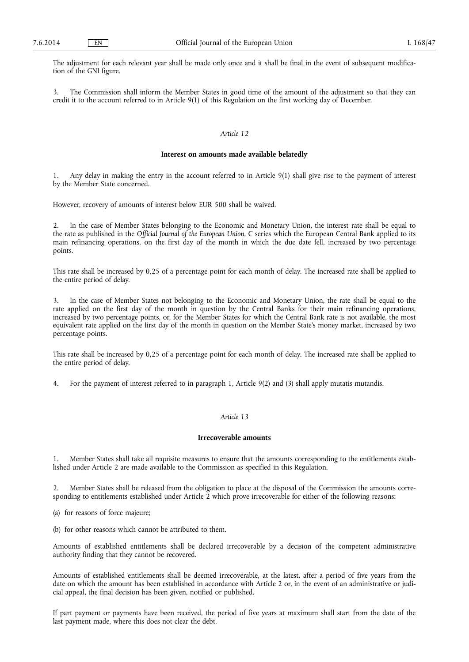The adjustment for each relevant year shall be made only once and it shall be final in the event of subsequent modification of the GNI figure.

3. The Commission shall inform the Member States in good time of the amount of the adjustment so that they can credit it to the account referred to in Article 9(1) of this Regulation on the first working day of December.

## *Article 12*

### **Interest on amounts made available belatedly**

1. Any delay in making the entry in the account referred to in Article 9(1) shall give rise to the payment of interest by the Member State concerned.

However, recovery of amounts of interest below EUR 500 shall be waived.

2. In the case of Member States belonging to the Economic and Monetary Union, the interest rate shall be equal to the rate as published in the *Official Journal of the European Union*, C series which the European Central Bank applied to its main refinancing operations, on the first day of the month in which the due date fell, increased by two percentage points.

This rate shall be increased by 0,25 of a percentage point for each month of delay. The increased rate shall be applied to the entire period of delay.

3. In the case of Member States not belonging to the Economic and Monetary Union, the rate shall be equal to the rate applied on the first day of the month in question by the Central Banks for their main refinancing operations, increased by two percentage points, or, for the Member States for which the Central Bank rate is not available, the most equivalent rate applied on the first day of the month in question on the Member State's money market, increased by two percentage points.

This rate shall be increased by 0,25 of a percentage point for each month of delay. The increased rate shall be applied to the entire period of delay.

4. For the payment of interest referred to in paragraph 1, Article 9(2) and (3) shall apply mutatis mutandis.

# *Article 13*

# **Irrecoverable amounts**

1. Member States shall take all requisite measures to ensure that the amounts corresponding to the entitlements established under Article 2 are made available to the Commission as specified in this Regulation.

2. Member States shall be released from the obligation to place at the disposal of the Commission the amounts corresponding to entitlements established under Article  $\overline{2}$  which prove irrecoverable for either of the following reasons:

- (a) for reasons of force majeure;
- (b) for other reasons which cannot be attributed to them.

Amounts of established entitlements shall be declared irrecoverable by a decision of the competent administrative authority finding that they cannot be recovered.

Amounts of established entitlements shall be deemed irrecoverable, at the latest, after a period of five years from the date on which the amount has been established in accordance with Article 2 or, in the event of an administrative or judicial appeal, the final decision has been given, notified or published.

If part payment or payments have been received, the period of five years at maximum shall start from the date of the last payment made, where this does not clear the debt.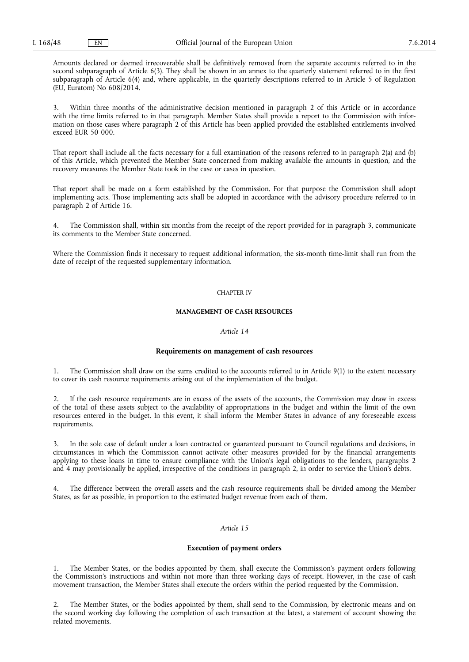Amounts declared or deemed irrecoverable shall be definitively removed from the separate accounts referred to in the second subparagraph of Article 6(3). They shall be shown in an annex to the quarterly statement referred to in the first subparagraph of Article 6(4) and, where applicable, in the quarterly descriptions referred to in Article 5 of Regulation (EU, Euratom) No 608/2014.

Within three months of the administrative decision mentioned in paragraph 2 of this Article or in accordance with the time limits referred to in that paragraph, Member States shall provide a report to the Commission with information on those cases where paragraph 2 of this Article has been applied provided the established entitlements involved exceed EUR 50 000.

That report shall include all the facts necessary for a full examination of the reasons referred to in paragraph 2(a) and (b) of this Article, which prevented the Member State concerned from making available the amounts in question, and the recovery measures the Member State took in the case or cases in question.

That report shall be made on a form established by the Commission. For that purpose the Commission shall adopt implementing acts. Those implementing acts shall be adopted in accordance with the advisory procedure referred to in paragraph 2 of Article 16.

4. The Commission shall, within six months from the receipt of the report provided for in paragraph 3, communicate its comments to the Member State concerned.

Where the Commission finds it necessary to request additional information, the six-month time-limit shall run from the date of receipt of the requested supplementary information.

#### CHAPTER IV

#### **MANAGEMENT OF CASH RESOURCES**

# *Article 14*

#### **Requirements on management of cash resources**

1. The Commission shall draw on the sums credited to the accounts referred to in Article 9(1) to the extent necessary to cover its cash resource requirements arising out of the implementation of the budget.

2. If the cash resource requirements are in excess of the assets of the accounts, the Commission may draw in excess of the total of these assets subject to the availability of appropriations in the budget and within the limit of the own resources entered in the budget. In this event, it shall inform the Member States in advance of any foreseeable excess requirements.

In the sole case of default under a loan contracted or guaranteed pursuant to Council regulations and decisions, in circumstances in which the Commission cannot activate other measures provided for by the financial arrangements applying to these loans in time to ensure compliance with the Union's legal obligations to the lenders, paragraphs 2 and 4 may provisionally be applied, irrespective of the conditions in paragraph 2, in order to service the Union's debts.

The difference between the overall assets and the cash resource requirements shall be divided among the Member States, as far as possible, in proportion to the estimated budget revenue from each of them.

# *Article 15*

# **Execution of payment orders**

1. The Member States, or the bodies appointed by them, shall execute the Commission's payment orders following the Commission's instructions and within not more than three working days of receipt. However, in the case of cash movement transaction, the Member States shall execute the orders within the period requested by the Commission.

2. The Member States, or the bodies appointed by them, shall send to the Commission, by electronic means and on the second working day following the completion of each transaction at the latest, a statement of account showing the related movements.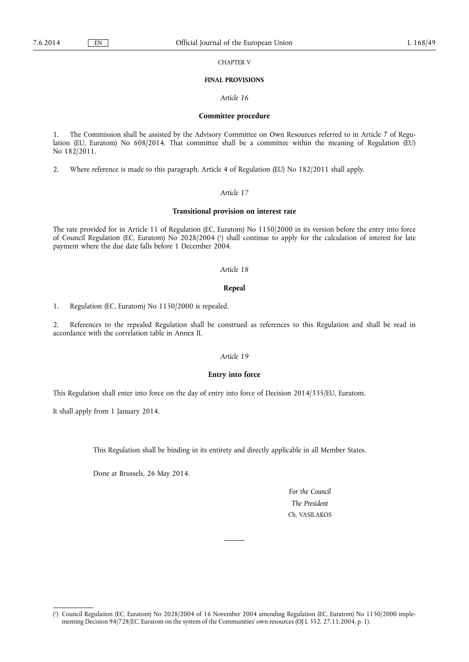CHAPTER V

#### **FINAL PROVISIONS**

*Article 16* 

## **Committee procedure**

1. The Commission shall be assisted by the Advisory Committee on Own Resources referred to in Article 7 of Regulation (EU, Euratom) No 608/2014. That committee shall be a committee within the meaning of Regulation (EU) No 182/2011.

2. Where reference is made to this paragraph, Article 4 of Regulation (EU) No 182/2011 shall apply.

# *Article 17*

#### **Transitional provision on interest rate**

The rate provided for in Article 11 of Regulation (EC, Euratom) No 1150/2000 in its version before the entry into force of Council Regulation (EC, Euratom) No 2028/2004 ( 1 ) shall continue to apply for the calculation of interest for late payment where the due date falls before 1 December 2004.

## *Article 18*

#### **Repeal**

1. Regulation (EC, Euratom) No 1150/2000 is repealed.

2. References to the repealed Regulation shall be construed as references to this Regulation and shall be read in accordance with the correlation table in Annex II.

# *Article 19*

#### **Entry into force**

This Regulation shall enter into force on the day of entry into force of Decision 2014/335/EU, Euratom.

It shall apply from 1 January 2014.

This Regulation shall be binding in its entirety and directly applicable in all Member States.

Done at Brussels, 26 May 2014.

*For the Council The President*  Ch. VASILAKOS

<sup>(</sup> 1 ) Council Regulation (EC, Euratom) No 2028/2004 of 16 November 2004 amending Regulation (EC, Euratom) No 1150/2000 implementing Decision 94/728/EC, Euratom on the system of the Communities' own resources (OJ L 352, 27.11.2004, p. 1).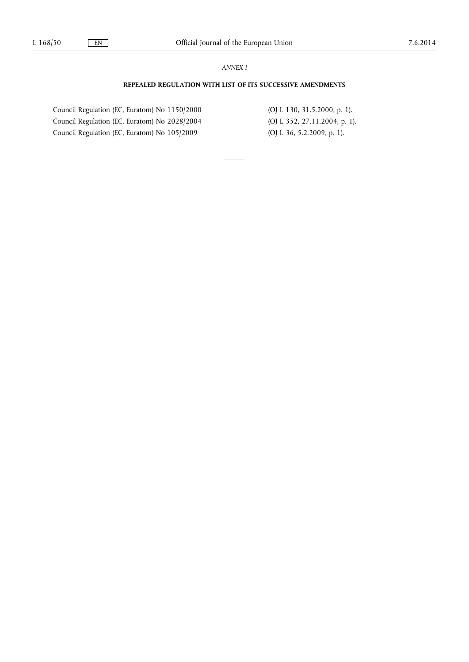# *ANNEX I*

# **REPEALED REGULATION WITH LIST OF ITS SUCCESSIVE AMENDMENTS**

Council Regulation (EC, Euratom) No 1150/2000 (OJ L 130, 31.5.2000, p. 1). Council Regulation (EC, Euratom) No 2028/2004 (OJ L 352, 27.11.2004, p. 1). Council Regulation (EC, Euratom) No 105/2009 (OJ L 36, 5.2.2009, p. 1).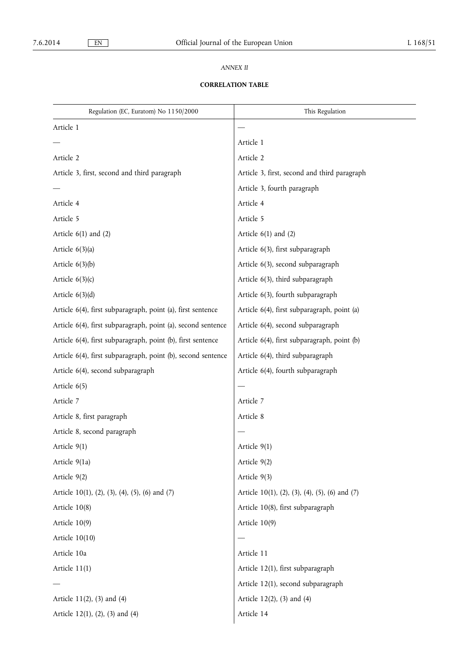# *ANNEX II*

# **CORRELATION TABLE**

| Regulation (EC, Euratom) No 1150/2000                        | This Regulation                                |
|--------------------------------------------------------------|------------------------------------------------|
| Article 1                                                    |                                                |
|                                                              | Article 1                                      |
| Article 2                                                    | Article 2                                      |
| Article 3, first, second and third paragraph                 | Article 3, first, second and third paragraph   |
|                                                              | Article 3, fourth paragraph                    |
| Article 4                                                    | Article 4                                      |
| Article 5                                                    | Article 5                                      |
| Article $6(1)$ and $(2)$                                     | Article $6(1)$ and $(2)$                       |
| Article $6(3)(a)$                                            | Article 6(3), first subparagraph               |
| Article $6(3)(b)$                                            | Article 6(3), second subparagraph              |
| Article $6(3)(c)$                                            | Article 6(3), third subparagraph               |
| Article $6(3)(d)$                                            | Article 6(3), fourth subparagraph              |
| Article 6(4), first subparagraph, point (a), first sentence  | Article 6(4), first subparagraph, point (a)    |
| Article 6(4), first subparagraph, point (a), second sentence | Article 6(4), second subparagraph              |
| Article 6(4), first subparagraph, point (b), first sentence  | Article 6(4), first subparagraph, point (b)    |
| Article 6(4), first subparagraph, point (b), second sentence | Article 6(4), third subparagraph               |
| Article 6(4), second subparagraph                            | Article 6(4), fourth subparagraph              |
| Article 6(5)                                                 |                                                |
| Article 7                                                    | Article 7                                      |
| Article 8, first paragraph                                   | Article 8                                      |
| Article 8, second paragraph                                  |                                                |
| Article 9(1)                                                 | Article 9(1)                                   |
| Article 9(1a)                                                | Article 9(2)                                   |
| Article 9(2)                                                 | Article 9(3)                                   |
| Article 10(1), (2), (3), (4), (5), (6) and (7)               | Article 10(1), (2), (3), (4), (5), (6) and (7) |
| Article 10(8)                                                | Article 10(8), first subparagraph              |
| Article 10(9)                                                | Article $10(9)$                                |
| Article 10(10)                                               |                                                |
| Article 10a                                                  | Article 11                                     |
| Article $11(1)$                                              | Article 12(1), first subparagraph              |
|                                                              | Article 12(1), second subparagraph             |
| Article 11(2), (3) and (4)                                   | Article 12(2), (3) and (4)                     |
| Article 12(1), (2), (3) and (4)                              | Article 14                                     |
|                                                              |                                                |